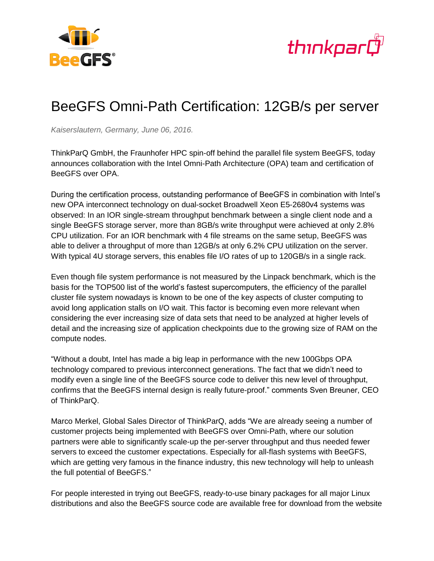



## BeeGFS Omni-Path Certification: 12GB/s per server

*Kaiserslautern, Germany, June 06, 2016.*

ThinkParQ GmbH, the Fraunhofer HPC spin-off behind the parallel file system BeeGFS, today announces collaboration with the Intel Omni-Path Architecture (OPA) team and certification of BeeGFS over OPA.

During the certification process, outstanding performance of BeeGFS in combination with Intel's new OPA interconnect technology on dual-socket Broadwell Xeon E5-2680v4 systems was observed: In an IOR single-stream throughput benchmark between a single client node and a single BeeGFS storage server, more than 8GB/s write throughput were achieved at only 2.8% CPU utilization. For an IOR benchmark with 4 file streams on the same setup, BeeGFS was able to deliver a throughput of more than 12GB/s at only 6.2% CPU utilization on the server. With typical 4U storage servers, this enables file I/O rates of up to 120GB/s in a single rack.

Even though file system performance is not measured by the Linpack benchmark, which is the basis for the TOP500 list of the world's fastest supercomputers, the efficiency of the parallel cluster file system nowadays is known to be one of the key aspects of cluster computing to avoid long application stalls on I/O wait. This factor is becoming even more relevant when considering the ever increasing size of data sets that need to be analyzed at higher levels of detail and the increasing size of application checkpoints due to the growing size of RAM on the compute nodes.

"Without a doubt, Intel has made a big leap in performance with the new 100Gbps OPA technology compared to previous interconnect generations. The fact that we didn't need to modify even a single line of the BeeGFS source code to deliver this new level of throughput, confirms that the BeeGFS internal design is really future-proof." comments Sven Breuner, CEO of ThinkParQ.

Marco Merkel, Global Sales Director of ThinkParQ, adds "We are already seeing a number of customer projects being implemented with BeeGFS over Omni-Path, where our solution partners were able to significantly scale-up the per-server throughput and thus needed fewer servers to exceed the customer expectations. Especially for all-flash systems with BeeGFS, which are getting very famous in the finance industry, this new technology will help to unleash the full potential of BeeGFS."

For people interested in trying out BeeGFS, ready-to-use binary packages for all major Linux distributions and also the BeeGFS source code are available free for download from the website